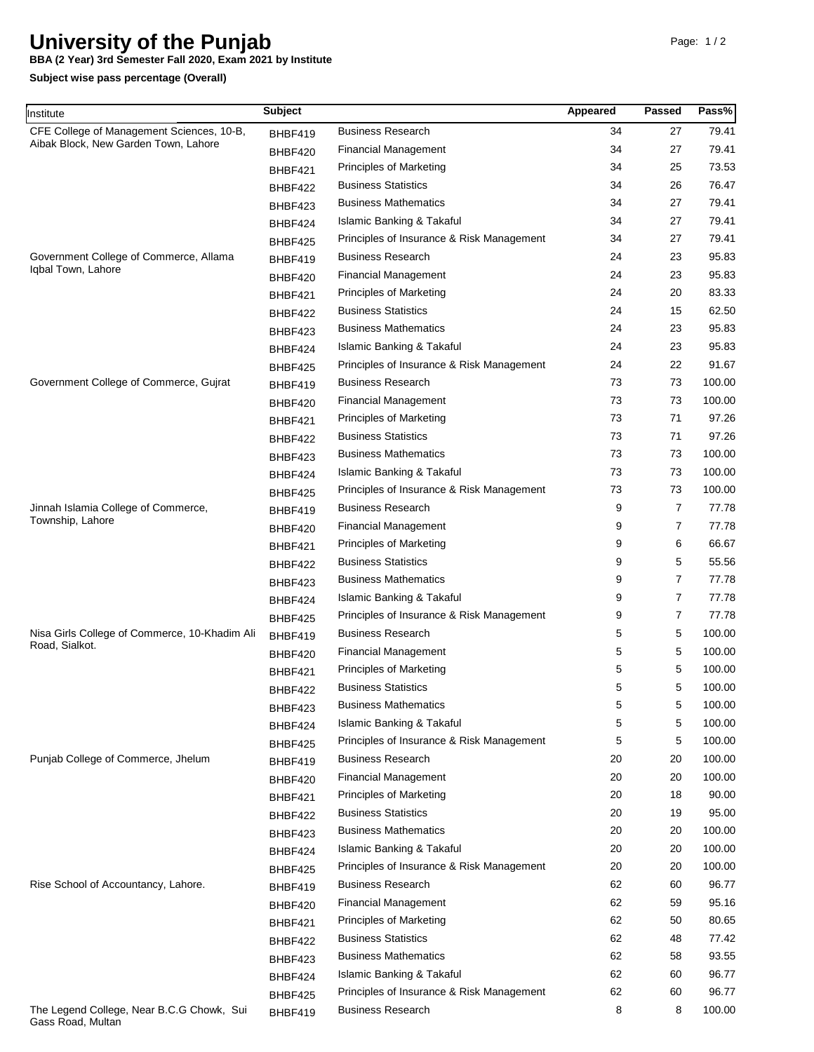## **University of the Punjab**

**BBA (2 Year) 3rd Semester Fall 2020, Exam 2021 by Institute**

**Subject wise pass percentage (Overall)**

| Institute                                                                                                                                         | <b>Subject</b> |                                           | Appeared | Passed         | Pass%  |
|---------------------------------------------------------------------------------------------------------------------------------------------------|----------------|-------------------------------------------|----------|----------------|--------|
| CFE College of Management Sciences, 10-B,<br>Aibak Block, New Garden Town, Lahore<br>Government College of Commerce, Allama<br>Igbal Town, Lahore | BHBF419        | <b>Business Research</b>                  | 34       | 27             | 79.41  |
|                                                                                                                                                   | BHBF420        | <b>Financial Management</b>               | 34       | 27             | 79.41  |
|                                                                                                                                                   | BHBF421        | <b>Principles of Marketing</b>            | 34       | 25             | 73.53  |
|                                                                                                                                                   | BHBF422        | <b>Business Statistics</b>                | 34       | 26             | 76.47  |
|                                                                                                                                                   | BHBF423        | <b>Business Mathematics</b>               | 34       | 27             | 79.41  |
|                                                                                                                                                   | BHBF424        | Islamic Banking & Takaful                 | 34       | 27             | 79.41  |
|                                                                                                                                                   | BHBF425        | Principles of Insurance & Risk Management | 34       | 27             | 79.41  |
|                                                                                                                                                   | BHBF419        | <b>Business Research</b>                  | 24       | 23             | 95.83  |
|                                                                                                                                                   | BHBF420        | <b>Financial Management</b>               | 24       | 23             | 95.83  |
|                                                                                                                                                   | BHBF421        | <b>Principles of Marketing</b>            | 24       | 20             | 83.33  |
|                                                                                                                                                   | BHBF422        | <b>Business Statistics</b>                | 24       | 15             | 62.50  |
|                                                                                                                                                   | BHBF423        | <b>Business Mathematics</b>               | 24       | 23             | 95.83  |
|                                                                                                                                                   | BHBF424        | Islamic Banking & Takaful                 | 24       | 23             | 95.83  |
|                                                                                                                                                   | BHBF425        | Principles of Insurance & Risk Management | 24       | 22             | 91.67  |
| Government College of Commerce, Gujrat                                                                                                            | BHBF419        | <b>Business Research</b>                  | 73       | 73             | 100.00 |
|                                                                                                                                                   | BHBF420        | <b>Financial Management</b>               | 73       | 73             | 100.00 |
|                                                                                                                                                   | BHBF421        | <b>Principles of Marketing</b>            | 73       | 71             | 97.26  |
|                                                                                                                                                   | BHBF422        | <b>Business Statistics</b>                | 73       | 71             | 97.26  |
|                                                                                                                                                   | BHBF423        | <b>Business Mathematics</b>               | 73       | 73             | 100.00 |
|                                                                                                                                                   | BHBF424        | <b>Islamic Banking &amp; Takaful</b>      | 73       | 73             | 100.00 |
|                                                                                                                                                   | BHBF425        | Principles of Insurance & Risk Management | 73       | 73             | 100.00 |
| Jinnah Islamia College of Commerce,                                                                                                               | BHBF419        | <b>Business Research</b>                  | 9        | 7              | 77.78  |
| Township, Lahore                                                                                                                                  | BHBF420        | <b>Financial Management</b>               | 9        | 7              | 77.78  |
|                                                                                                                                                   | BHBF421        | <b>Principles of Marketing</b>            | 9        | 6              | 66.67  |
|                                                                                                                                                   | BHBF422        | <b>Business Statistics</b>                | 9        | 5              | 55.56  |
|                                                                                                                                                   | BHBF423        | <b>Business Mathematics</b>               | 9        | $\overline{7}$ | 77.78  |
|                                                                                                                                                   | BHBF424        | Islamic Banking & Takaful                 | 9        | $\overline{7}$ | 77.78  |
|                                                                                                                                                   | BHBF425        | Principles of Insurance & Risk Management | 9        | 7              | 77.78  |
| Nisa Girls College of Commerce, 10-Khadim Ali<br>Road, Sialkot.                                                                                   | BHBF419        | <b>Business Research</b>                  | 5        | 5              | 100.00 |
|                                                                                                                                                   | BHBF420        | <b>Financial Management</b>               | 5        | 5              | 100.00 |
|                                                                                                                                                   | BHBF421        | <b>Principles of Marketing</b>            | 5        | 5              | 100.00 |
|                                                                                                                                                   | BHBF422        | <b>Business Statistics</b>                | 5        | 5              | 100.00 |
|                                                                                                                                                   | BHBF423        | Business Mathematics                      | 5        | 5              | 100.00 |
|                                                                                                                                                   | BHBF424        | Islamic Banking & Takaful                 | 5        | 5              | 100.00 |
|                                                                                                                                                   | BHBF425        | Principles of Insurance & Risk Management | 5        | 5              | 100.00 |
| Punjab College of Commerce, Jhelum                                                                                                                | BHBF419        | <b>Business Research</b>                  | 20       | 20             | 100.00 |
|                                                                                                                                                   | BHBF420        | <b>Financial Management</b>               | 20       | 20             | 100.00 |
|                                                                                                                                                   | BHBF421        | <b>Principles of Marketing</b>            | 20       | 18             | 90.00  |
|                                                                                                                                                   | BHBF422        | <b>Business Statistics</b>                | 20       | 19             | 95.00  |
|                                                                                                                                                   | BHBF423        | <b>Business Mathematics</b>               | 20       | 20             | 100.00 |
|                                                                                                                                                   | BHBF424        | Islamic Banking & Takaful                 | 20       | 20             | 100.00 |
|                                                                                                                                                   | BHBF425        | Principles of Insurance & Risk Management | 20       | 20             | 100.00 |
| Rise School of Accountancy, Lahore.                                                                                                               | BHBF419        | <b>Business Research</b>                  | 62       | 60             | 96.77  |
|                                                                                                                                                   | BHBF420        | <b>Financial Management</b>               | 62       | 59             | 95.16  |
|                                                                                                                                                   | BHBF421        | <b>Principles of Marketing</b>            | 62       | 50             | 80.65  |
|                                                                                                                                                   | BHBF422        | <b>Business Statistics</b>                | 62       | 48             | 77.42  |
|                                                                                                                                                   | BHBF423        | <b>Business Mathematics</b>               | 62       | 58             | 93.55  |
|                                                                                                                                                   | BHBF424        | Islamic Banking & Takaful                 | 62       | 60             | 96.77  |
|                                                                                                                                                   | BHBF425        | Principles of Insurance & Risk Management | 62       | 60             | 96.77  |
| The Legend College, Near B.C.G Chowk, Sui<br>Gass Road, Multan                                                                                    | BHBF419        | <b>Business Research</b>                  | 8        | 8              | 100.00 |